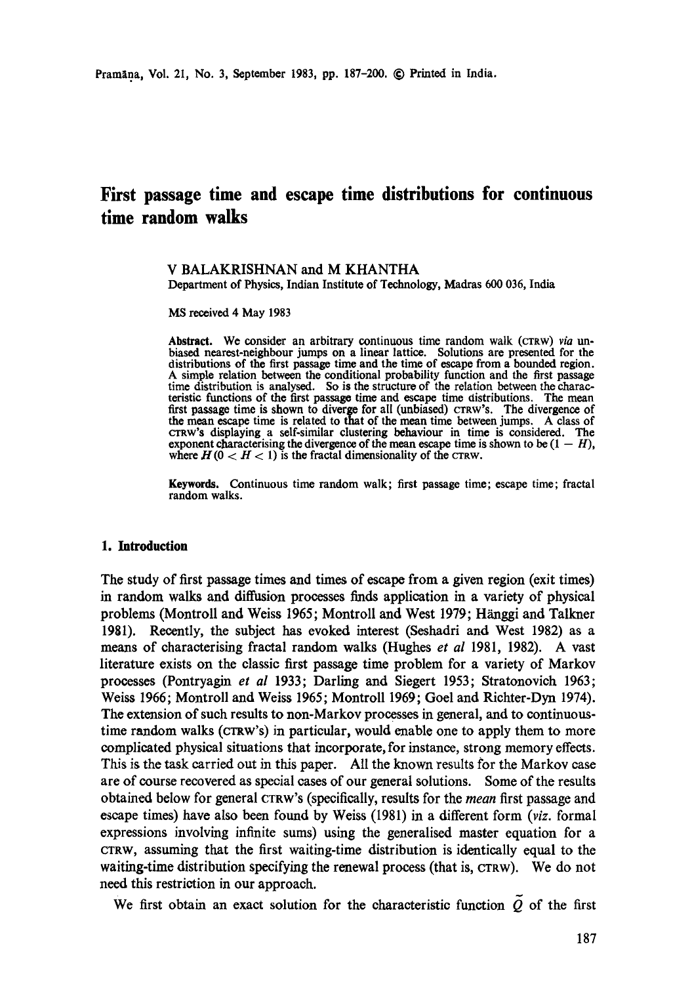# **First passage time and escape time distributions for continuous time random walks**

#### V BALAKRISHNAN and M KHANTHA Department of Physics, Indian Institute of Technology, Madras 600 036, India

MS received 4 May 1983

Abstract. We consider an arbitrary continuous time random walk (CTRW) *via un*biased nearest-neighbour jumps on a linear lattice. Solutions are presented for the distributions of the first passage time and the time of escape from a bounded region. A simple relation between the conditional probability function and the first passage time distribution is analysed. So is the structure of the relation between the characteristic functions of the first passage time and escape time distributions. The mean first passage time is shown to diverge for all (unbiased) CTRW'S. The divergence of the mean escape time is related to that of the mean time between jumps. A class of crRw's displaying a self-similar clustering behaviour in time is considered. The exponent characterising the divergence of the mean escape time is shown to be  $(1 - H)$ , where  $H(0 < H < 1)$  is the fractal dimensionality of the CTRW.

Keywords. Continuous time random walk; first passage time; escape time; fractal random walks.

#### **1.** Introduction

The study of first passage times and times of escape from a given region (exit times) in random walks and diffusion processes finds application in a variety of physical problems (Montroll and Weiss 1965; Montroll and West 1979; Hanggi and Talkner 1981). Recently, the subject has evoked interest (Seshadri and West 1982) as a means of characterising fractal random walks (Hughes *et al* 1981, 1982). A vast literature exists on the classic first passage time problem for a variety of Markov processes (Pontryagin *et al* 1933; Darling and Siegert 1953; Stratonovich 1963; Weiss 1966; Montroll and Weiss 1965; Montroll 1969; Goel and Richter-Dyn 1974). The extension of such results to non-Markov processes in general, and to continuoustime random walks (CTRW'S) in particular, would enable one to apply them to more complicated physical situations that incorporate, for instance, strong memory effects. This is the task carried out in this paper. All the known results for the Markov case are of course recovered as special cases of our general solutions. Some of the results obtained below for general CTRW'S (specifically, results for the *mean* first passage and escape times) have also been found by Weiss (1981) in a different form *(viz.* formal expressions involving infinite sums) using the generalised master equation for a CTRW, assuming that the first waiting-time distribution is identically equal to the waiting-time distribution specifying the renewal process (that is, CTRW). We do not need this restriction in our approach.

We first obtain an exact solution for the characteristic function  $\tilde{Q}$  of the first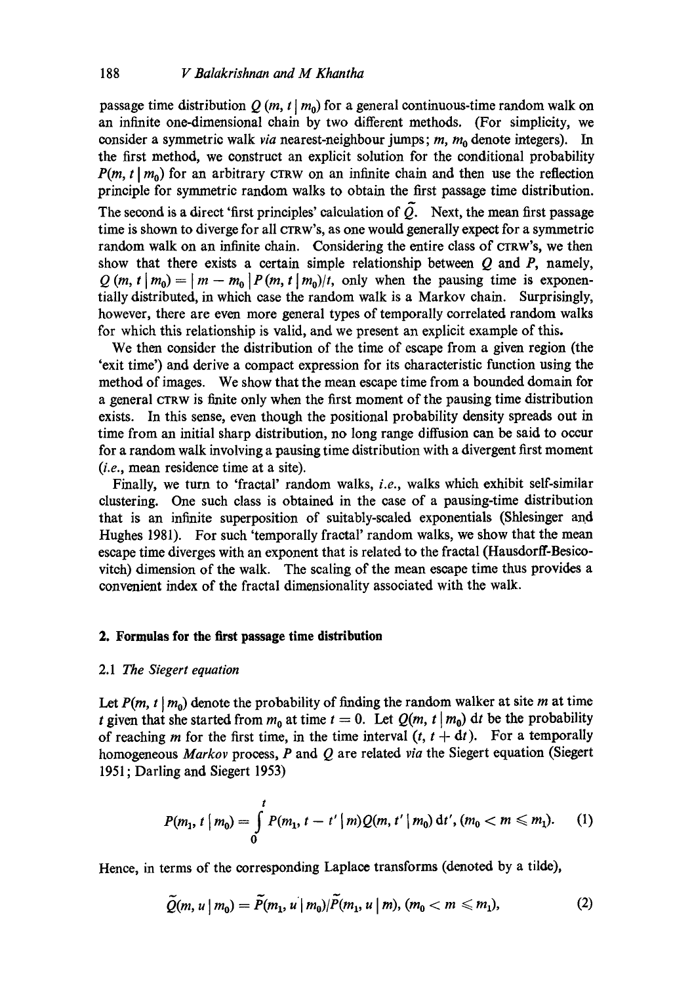passage time distribution Q  $(m, t | m_0)$  for a general continuous-time random walk on an infinite one-dimensional chain by two different methods. (For simplicity, we consider a symmetric walk *via* nearest-neighbour jumps; m, m<sub>0</sub> denote integers). In the first method, we construct an explicit solution for the conditional probability  $P(m, t | m_0)$  for an arbitrary CTRW on an infinite chain and then use the reflection principle for symmetric random walks to obtain the first passage time distribution. The second is a direct 'first principles' calculation of  $\tilde{Q}$ . Next, the mean first passage time is shown to diverge for all CrRW'S, as one would generally expect for a symmetric random walk on an infinite chain. Considering the entire class of CTRW'S, we then show that there exists a certain simple relationship between  $Q$  and  $P$ , namely,  $Q(m, t | m_0) = |m - m_0| P(m, t | m_0)/t$ , only when the pausing time is exponentially distributed, in which case the random walk is a Markov chain. Surprisingly, however, there are even more general types of temporally correlated random walks for which this relationship is valid, and we present an explicit example of this.

We then consider the distribution of the time of escape from a given region (the 'exit time') and derive a compact expression for its characteristic function using the method of images. We show that the mean escape time from a bounded domain for a general CTRW is finite only when the first moment of the pausing time distribution exists. In this sense, even though the positional probability density spreads out in time from an initial sharp distribution, no long range diffusion can be said to occur for a random walk involving a pausing time distribution with a divergent first moment *(i.e.,* mean residence time at a site).

Finally, we turn to 'fraetal' random walks, *i.e.,* walks which exhibit self-similar clustering. One such class is obtained in the ease of a pausing-time distribution that is an infinite superposition of suitably-sealed exponentials (Shlesinger and Hughes 1981). For such 'temporally fraetal' random walks, we show that the mean escape time diverges with an exponent that is related to the fraotal (Hausdorff-Besicovitch) dimension of the walk. The scaling of the mean escape time thus provides a convenient index of the fraetal dimensionality associated with the walk.

### **2. Formulas for the first passage time distribution**

#### 2.1 *The Siegert equation*

Let  $P(m, t | m_0)$  denote the probability of finding the random walker at site m at time t given that she started from  $m_0$  at time  $t = 0$ . Let  $Q(m, t | m_0)$  dt be the probability of reaching m for the first time, in the time interval  $(t, t + dt)$ . For a temporally homogeneous *Marker* process, P and Q are related *via* the Siegert equation (Siegert 1951 ; Darling and Siegert 1953)

$$
P(m_1, t | m_0) = \int_0^t P(m_1, t - t' | m) Q(m, t' | m_0) dt', (m_0 < m \le m_1).
$$
 (1)

Hence, in terms of the corresponding Laplace transforms (denoted by a tilde),

$$
\widetilde{Q}(m, u \mid m_0) = \widetilde{P}(m_1, u \mid m_0) / \widetilde{P}(m_1, u \mid m), (m_0 < m \leq m_1), \tag{2}
$$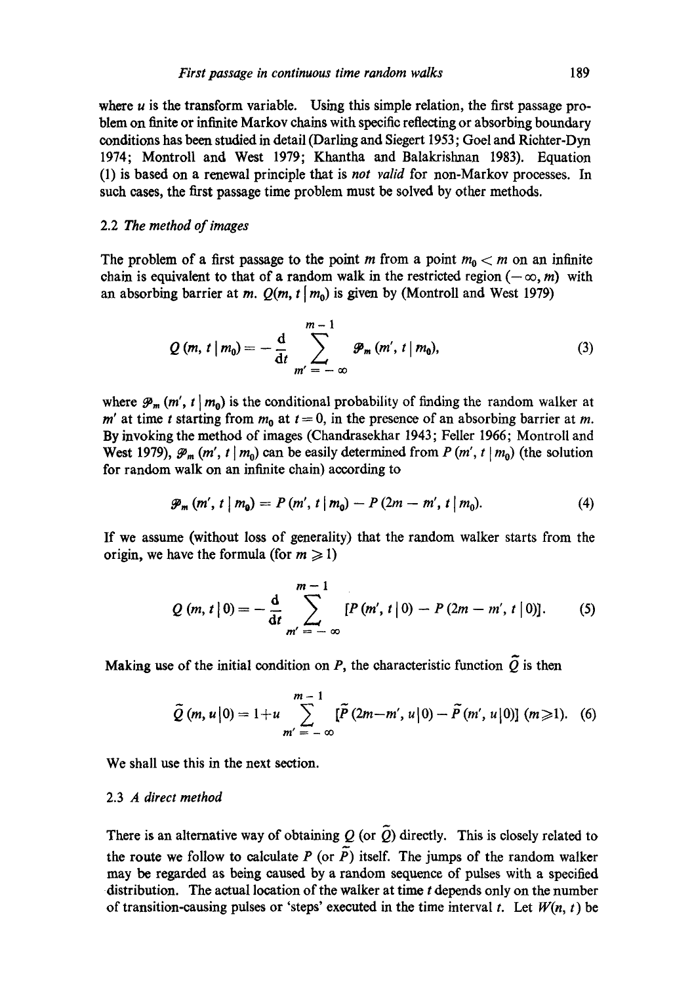where  $u$  is the transform variable. Using this simple relation, the first passage problem on finite or infinite Markov chains with specific reflecting or absorbing boundary conditions has been studied in detail (Darling and Siegert 1953; Goel and Riohter-Dyn 1974; Montroll and West 1979; Khantha and Balakrislman 1983). Equation (1) is based on a renewal principle that is *not valid* for non-Markov processes. In such eases, the first passage time problem must be solved by other methods.

#### 2.2 *The method of images*

The problem of a first passage to the point m from a point  $m_0 < m$  on an infinite chain is equivalent to that of a random walk in the restricted region ( $-\infty$ , *m*) with an absorbing barrier at *m.*  $Q(m, t | m_0)$  is given by (Montroll and West 1979)

$$
Q(m, t | m_0) = -\frac{d}{dt} \sum_{m' = -\infty}^{m-1} \mathcal{P}_m (m', t | m_0),
$$
 (3)

where  $\mathcal{P}_m(m', t | m_0)$  is the conditional probability of finding the random walker at m' at time t starting from  $m_0$  at  $t = 0$ , in the presence of an absorbing barrier at m. By invoking the method of images (Chandrasekhar 1943; Feller 1966; Montroll and West 1979),  $\mathcal{P}_m(m', t | m_0)$  can be easily determined from P  $(m', t | m_0)$  (the solution for random walk on an infinite chain) according to

$$
\mathcal{P}_m(m', t \mid m_0) = P(m', t \mid m_0) - P(2m - m', t \mid m_0). \tag{4}
$$

If we assume (without loss of generality) that the random walker starts from the origin, we have the formula (for  $m \ge 1$ )

$$
Q(m, t | 0) = -\frac{d}{dt} \sum_{m' = -\infty}^{m-1} [P(m', t | 0) - P(2m - m', t | 0)]. \qquad (5)
$$

Making use of the initial condition on P, the characteristic function  $\tilde{Q}$  is then

$$
\widetilde{Q}(m, u|0) = 1 + u \sum_{m' = -\infty}^{m-1} [\widetilde{P}(2m - m', u|0) - \widetilde{P}(m', u|0)] \ (m \geq 1). \quad (6)
$$

We shall use this in the next section.

## 2.3 *A direct method*

There is an alternative way of obtaining Q (or  $\tilde{Q}$ ) directly. This is closely related to the route we follow to calculate P (or  $\overline{P}$ ) itself. The jumps of the random walker may be regarded as being caused by a random sequence of pulses with a specified distribution. The actual location of the walker at time  $t$  depends only on the number of transition-causing pulses or 'steps' executed in the time interval t. Let  $W(n, t)$  be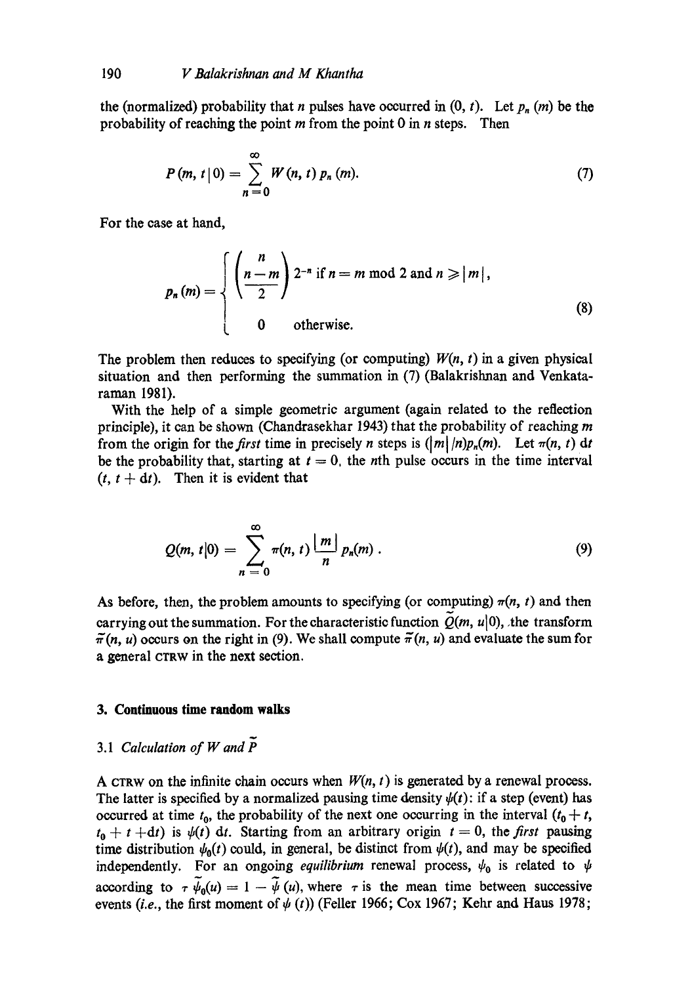the (normalized) probability that *n* pulses have occurred in  $(0, t)$ . Let  $p_n(m)$  be the probability of reaching the point  $m$  from the point 0 in  $n$  steps. Then

$$
P(m, t | 0) = \sum_{n=0}^{\infty} W(n, t) p_n(m).
$$
 (7)

For the ease at hand,

$$
p_n(m) = \begin{cases} \left(\frac{n}{2}\right) 2^{-n} & \text{if } n = m \text{ mod } 2 \text{ and } n \geqslant |m|, \\ 0 & \text{otherwise.} \end{cases}
$$
 (8)

The problem then reduces to specifying (or computing)  $W(n, t)$  in a given physical situation and then performing the summation in (7) (Balakrishnan and Venkataraman 1981).

With the help of a simple geometric argument (again related to the reflection principle), it can be shown (Chandrasekhar 1943) that the probability of reaching m from the origin for the *first* time in precisely *n* steps is  $(|m|/n)p_n(m)$ . Let  $\pi(n, t)$  dt be the probability that, starting at  $t = 0$ , the nth pulse occurs in the time interval  $(t, t + dt)$ . Then it is evident that

$$
Q(m, t|0) = \sum_{n=0}^{\infty} \pi(n, t) \frac{|m|}{n} p_n(m).
$$
 (9)

As before, then, the problem amounts to specifying (or computing)  $\pi(n, t)$  and then carrying out the summation. For the characteristic function  $Q(m, u|0)$ , the transform  $\tilde{\pi}(n, u)$  occurs on the right in (9). We shall compute  $\tilde{\pi}(n, u)$  and evaluate the sum for a general CTRW in the next section.

# **3. Continuous time random walks**

# *3.1 Calculation of W and*

A CTRW on the infinite chain occurs when  $W(n, t)$  is generated by a renewal process. The latter is specified by a normalized pausing time density  $\psi(t)$ : if a step (event) has occurred at time  $t_0$ , the probability of the next one occurring in the interval  $(t_0 + t,$  $t_0 + t + dt$ ) is  $\psi(t)$  dt. Starting from an arbitrary origin  $t = 0$ , the *first* pausing time distribution  $\psi_0(t)$  could, in general, be distinct from  $\psi(t)$ , and may be specified independently. For an ongoing *equilibrium* renewal process,  $\psi_0$  is related to  $\psi$ according to  $\tau \psi_0(u) = 1 - \tilde{\psi}(u)$ , where  $\tau$  is the mean time between successive events *(i.e., the first moment of*  $\psi(t)$ *)* (Feller 1966; Cox 1967; Kehr and Haus 1978;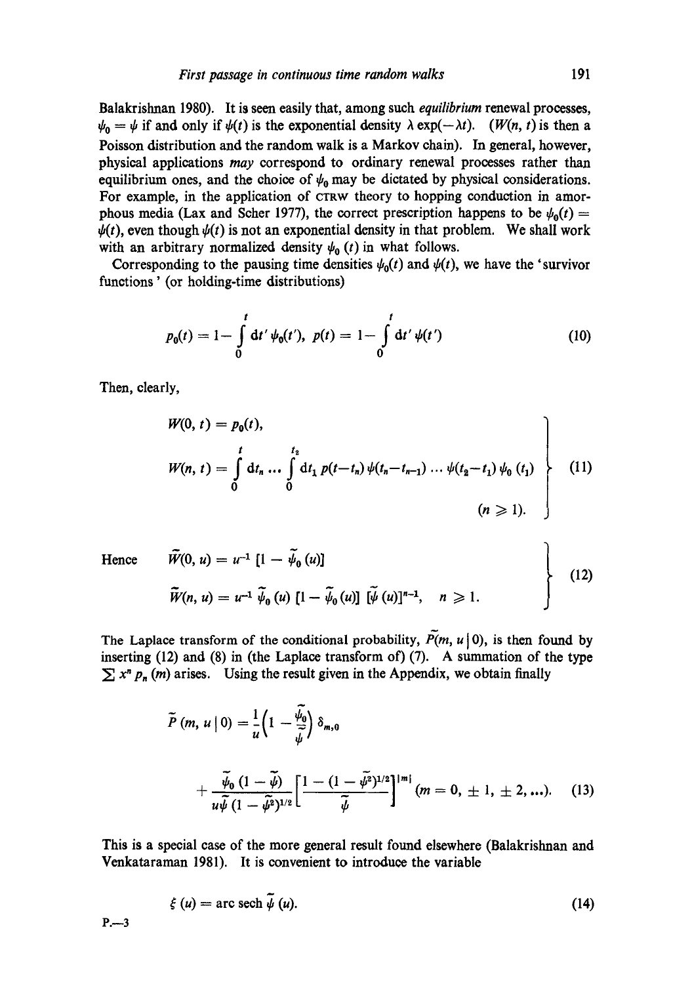Balakrishnan 1980). It is seen easily that, among such *equilibrium* renewal processes,  $\psi_0 = \psi$  if and only if  $\psi(t)$  is the exponential density  $\lambda \exp(-\lambda t)$ . *(W(n, t)* is then a Poisson distribution and the random walk is a Markov chain). In general, however, physical applications *may* correspond to ordinary renewal processes rather than equilibrium ones, and the choice of  $\psi_0$  may be dictated by physical considerations. For example, in the application of CTRW theory to hopping conduction in amorphous media (Lax and Scher 1977), the correct prescription happens to be  $\psi_0(t) =$  $\psi(t)$ , even though  $\psi(t)$  is not an exponential density in that problem. We shall work with an arbitrary normalized density  $\psi_0$  (t) in what follows.

Corresponding to the pausing time densities  $\psi_0(t)$  and  $\psi(t)$ , we have the 'survivor functions' (or holding-time distributions)

$$
p_0(t) = 1 - \int_0^t dt' \psi_0(t'), \ p(t) = 1 - \int_0^t dt' \psi(t')
$$
 (10)

Then, clearly,

$$
W(0, t) = p_0(t),
$$
  
\n
$$
W(n, t) = \int_0^t dt_n \dots \int_0^{t_2} dt_1 p(t - t_n) \psi(t_n - t_{n-1}) \dots \psi(t_2 - t_1) \psi_0(t_1)
$$
  
\n
$$
(n \ge 1).
$$
\n(11)

**Hence** 

$$
\tilde{W}(0, u) = u^{-1} [1 - \tilde{\psi}_0(u)]
$$
\n
$$
\tilde{W}(n, u) = u^{-1} \tilde{\psi}_0(u) [1 - \tilde{\psi}_0(u)] [\tilde{\psi}(u)]^{n-1}, \quad n \ge 1.
$$
\n(12)

The Laplace transform of the conditional probability,  $\tilde{P}(m, u | 0)$ , is then found by inserting (12) and (8) in (the Laplace transform of) (7). A summation of the type  $\sum x^n p_n(m)$  arises. Using the result given in the Appendix, we obtain finally

$$
\widetilde{P}(m, u | 0) = \frac{1}{u} \left( 1 - \frac{\widetilde{\psi}_0}{\widetilde{\psi}} \right) \delta_{m,0} \n+ \frac{\widetilde{\psi}_0 (1 - \widetilde{\psi})}{u \widetilde{\psi} (1 - \widetilde{\psi}^2)^{1/2}} \left[ \frac{1 - (1 - \widetilde{\psi}^2)^{1/2}}{\widetilde{\psi}} \right]^{|m|} (m = 0, \pm 1, \pm 2, \ldots). \tag{13}
$$

This is a special case of the more general result found elsewhere (Balakrishnan and Venkataraman 1981). It is convenient to introduce the variable

$$
\xi(u) = \arccosch \tilde{\psi}(u). \tag{14}
$$

 $P. -3$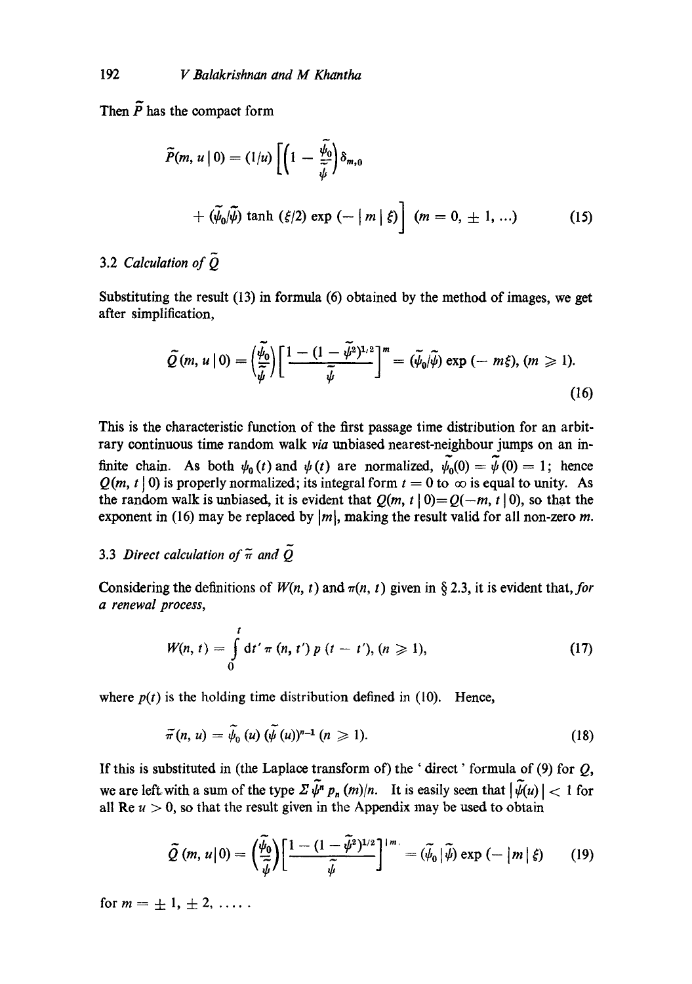Then  $\tilde{P}$  has the compact form

$$
\widetilde{P}(m, u \mid 0) = (1/u) \left[ \left( 1 - \frac{\widetilde{\psi}_0}{\widetilde{\psi}} \right) \delta_{m,0} \right]
$$
  
+  $(\widetilde{\psi}_0/\widetilde{\psi}) \tanh (\xi/2) \exp (-\vert m \vert \xi) \left[ (m = 0, \pm 1, \ldots) \right]$  (15)

# 3.2 *Calculation of Q.*

Substituting the result  $(13)$  in formula  $(6)$  obtained by the method of images, we get after simplification,

$$
\widetilde{Q}(m, u | 0) = \left(\frac{\widetilde{\psi}_0}{\widetilde{\psi}}\right) \left[\frac{1 - (1 - \widetilde{\psi}^2)^{1/2}}{\widetilde{\psi}}\right]^m = (\widetilde{\psi}_0/\widetilde{\psi}) \exp(-m\xi), (m \ge 1).
$$
\n(16)

This is the characteristic function of the first passage time distribution for an arbitrary continuous time random walk *via* unbiased nearest-neighbour jumps on an infinite chain. As both  $\psi_0(t)$  and  $\psi(t)$  are normalized,  $\tilde{\psi}_0(0)=\tilde{\psi}(0)=1$ ; hence  $Q(m, t | 0)$  is properly normalized; its integral form  $t = 0$  to  $\infty$  is equal to unity. As the random walk is unbiased, it is evident that  $Q(m, t | 0) = Q(-m, t | 0)$ , so that the exponent in (16) may be replaced by  $|m|$ , making the result valid for all non-zero m.

# 3.3 *Direct calculation of*  $\tilde{\pi}$  and  $\tilde{Q}$

Considering the definitions of  $W(n, t)$  and  $\pi(n, t)$  given in § 2.3, it is evident that, for *a renewal process,* 

$$
W(n, t) = \int_{0}^{t} dt' \pi (n, t') p (t - t'), (n \ge 1),
$$
 (17)

where  $p(t)$  is the holding time distribution defined in (10). Hence,

$$
\tilde{\pi}(n, u) = \tilde{\psi}_0(u) (\tilde{\psi}(u))^{n-1} (n \geqslant 1).
$$
 (18)

If this is substituted in (the Laplace transform of) the ' direct' formula of (9) for *Q,*  we are left with a sum of the type  $\sum \tilde{\psi}^n p_n(m)/n$ . It is easily seen that  $|\tilde{\psi}(u)| < 1$  for all Re  $u > 0$ , so that the result given in the Appendix may be used to obtain

$$
\widetilde{Q}(m, u|0) = \left(\frac{\widetilde{\psi}_0}{\widetilde{\psi}}\right) \left[\frac{1 - (1 - \widetilde{\psi}^2)^{1/2}}{\widetilde{\psi}}\right]^{1/m} = (\widetilde{\psi}_0|\widetilde{\psi}) \exp(-|m|\xi)
$$
 (19)

for  $m = \pm 1, \pm 2, \ldots$ .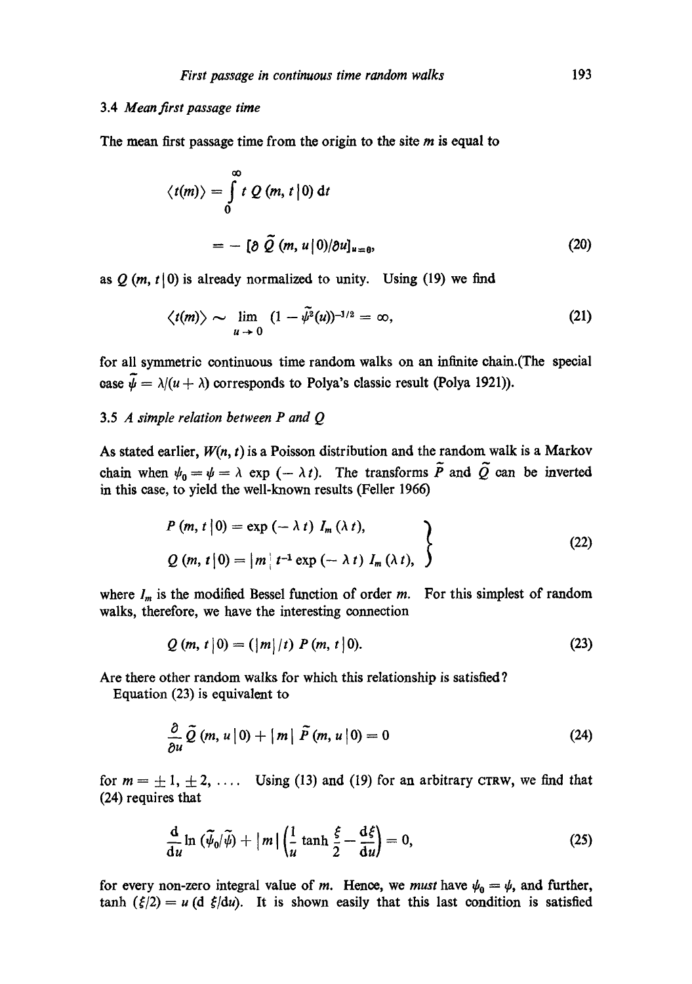## 3.4 *Mean first passage time*

The mean first passage time from the origin to the site  $m$  is equal to

$$
\langle t(m) \rangle = \int_{0}^{\infty} t \ Q \ (m, t \, | \, 0) \ dt
$$

$$
= - \ [\partial \ \tilde{Q} \ (m, u \, | \, 0) / \partial u]_{u=0}, \tag{20}
$$

as  $Q(m, t|0)$  is already normalized to unity. Using (19) we find

$$
\langle t(m) \rangle \sim \lim_{u \to 0} (1 - \tilde{\psi}^2(u))^{-1/2} = \infty, \tag{21}
$$

for all symmetric continuous time random walks on an infinite ehain.(The special ease  $\tilde{\psi} = \lambda/(u + \lambda)$  corresponds to Polya's classic result (Polya 1921)).

# 3.5 *A simple relation between P and Q*

As stated earlier, *W(n, t)* is a Poisson distribution and the random walk is a Markov chain when  $\psi_0 = \psi = \lambda$  exp  $(-\lambda t)$ . The transforms  $\tilde{P}$  and  $\tilde{Q}$  can be inverted in this ease, to yield the well-known results (Feller 1966)

$$
P(m, t | 0) = \exp(-\lambda t) I_m(\lambda t),
$$
  
 
$$
Q(m, t | 0) = |m| t^{-1} \exp(-\lambda t) I_m(\lambda t),
$$
 (22)

where  $I_m$  is the modified Bessel function of order m. For this simplest of random walks, therefore, we have the interesting connection

$$
Q(m, t|0) = (|m|/t) P(m, t|0).
$$
 (23)

Are there other random walks for which this relationship is satisfied ?

Equation (23) is equivalent to

$$
\frac{\partial}{\partial u}\tilde{Q}(m, u | 0) + |m| \tilde{P}(m, u | 0) = 0 \qquad (24)
$$

for  $m = \pm 1, \pm 2, \ldots$  Using (13) and (19) for an arbitrary CTRW, we find that (24) requires that

$$
\frac{\mathrm{d}}{\mathrm{d}u}\ln\left(\widetilde{\psi}_0/\widetilde{\psi}\right)+\left|m\right|\left(\frac{1}{u}\tanh\frac{\xi}{2}-\frac{\mathrm{d}\xi}{\mathrm{d}u}\right)=0,\tag{25}
$$

for every non-zero integral value of m. Hence, we *must* have  $\psi_0 = \psi$ , and further,  $tanh (\xi/2) = u (d \xi/du)$ . It is shown easily that this last condition is satisfied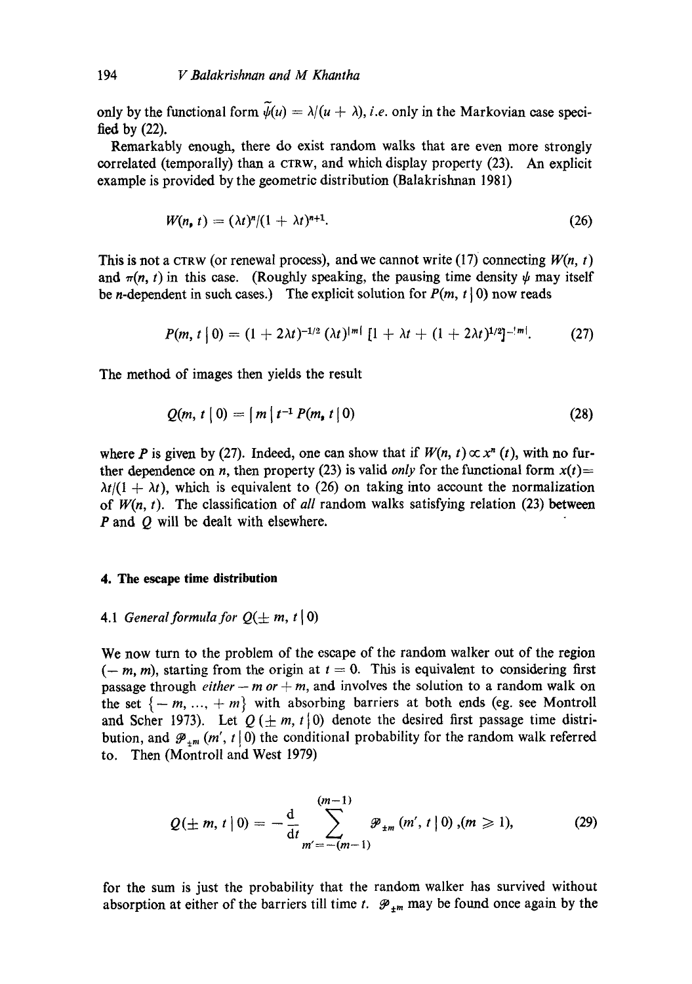only by the functional form  $\widetilde{\psi}(u) = \lambda/(u + \lambda)$ , *i.e.* only in the Markovian case specified by (22).

Remarkably enough, there do exist random walks that are even more strongly correlated (temporally) than a  $CTRW$ , and which display property (23). An explicit example is provided by the geometric distribution (Balakrishnan 1981)

$$
W(n, t) = (\lambda t)^n/(1 + \lambda t)^{n+1}.
$$
 (26)

This is not a CTRW (or renewal process), and we cannot write (17) connecting  $W(n, t)$ and  $\pi(n, t)$  in this case. (Roughly speaking, the pausing time density  $\psi$  may itself be *n*-dependent in such cases.) The explicit solution for  $P(m, t | 0)$  now reads

$$
P(m, t | 0) = (1 + 2\lambda t)^{-1/2} (\lambda t)^{|m|} [1 + \lambda t + (1 + 2\lambda t)^{1/2}]^{-|m|}. \tag{27}
$$

The method of images then yields the result

$$
Q(m, t | 0) = |m| t^{-1} P(m, t | 0)
$$
 (28)

where P is given by (27). Indeed, one can show that if  $W(n, t) \propto x^{n}$  (*t*), with no further dependence on *n*, then property (23) is valid *only* for the functional form  $x(t)$ =  $\lambda t/(1 + \lambda t)$ , which is equivalent to (26) on taking into account the normalization of *W(n, t).* The classification of *all* random walks satisfying relation (23) between P and Q will be dealt with elsewhere.

### **4. The escape time distribution**

# 4.1 *General formula for*  $Q(\pm m, t|0)$

We now turn to the problem of the escape of the random walker out of the region  $(-m, m)$ , starting from the origin at  $t = 0$ . This is equivalent to considering first passage through *either -- m or + m*, and involves the solution to a random walk on the set  $\{-m, ..., +m\}$  with absorbing barriers at both ends (eg. see Montroll and Scher 1973). Let  $Q(\pm m, t | 0)$  denote the desired first passage time distribution, and  $\mathcal{P}_{+m}(m', t | 0)$  the conditional probability for the random walk referred to. Then (Montroll and West 1979)

$$
Q(\pm m, t | 0) = -\frac{d}{dt} \sum_{m'=-(m-1)}^{(m-1)} \mathcal{P}_{\pm m} (m', t | 0), (m \ge 1),
$$
 (29)

for the sum is just the probability that the random walker has survived without absorption at either of the barriers till time t.  $\mathcal{P}_{\pm m}$  may be found once again by the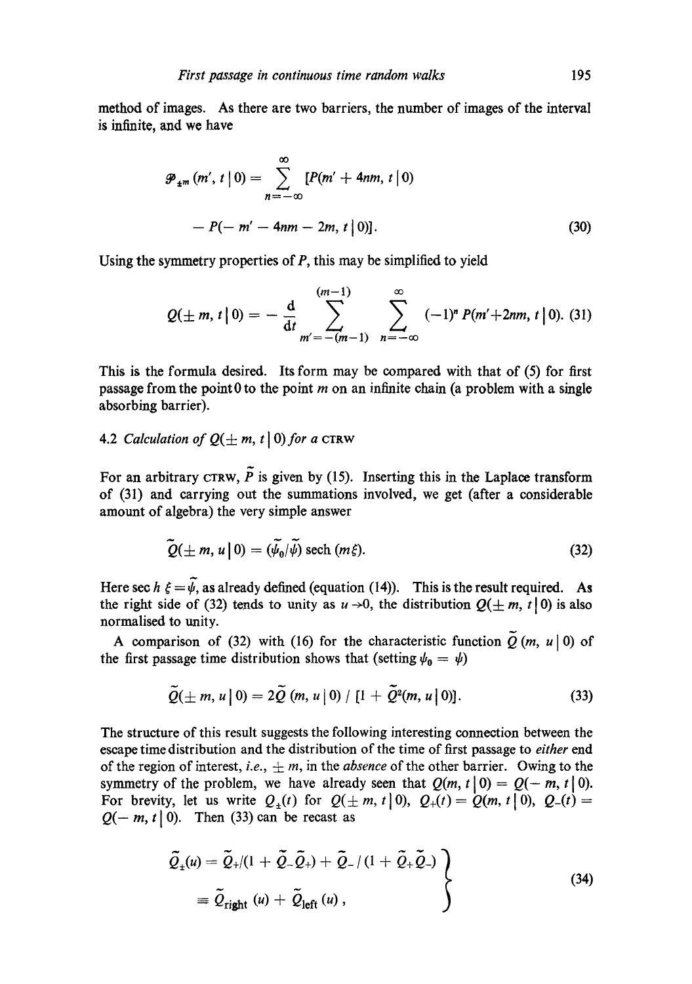method of images. As there are two barriers, the number of images of the interval is infinite, and we have

$$
\mathcal{P}_{\pm m} (m', t \mid 0) = \sum_{n = -\infty}^{\infty} [P(m' + 4nm, t \mid 0) - P(-m' - 4nm - 2m, t \mid 0)].
$$
\n(30)

Using the symmetry properties of  $P$ , this may be simplified to yield

$$
Q(\pm m, t \,|\, 0) = -\frac{d}{dt} \sum_{m' = -(m-1)}^{(m-1)} \sum_{n = -\infty}^{\infty} (-1)^n P(m' + 2nm, t \,|\, 0). \tag{31}
$$

This is the formula desired. Its form may be compared with that of (5) for first passage from the point 0 to the point  $m$  on an infinite chain (a problem with a single absorbing barrier).

# 4.2 *Calculation of*  $Q(\pm m, t \mid 0)$  for a CTRW

For an arbitrary CTRW,  $\tilde{P}$  is given by (15). Inserting this in the Laplace transform of (31) and carrying out the summations involved, we get (after a considerable amount of algebra) the very simple answer

$$
\widetilde{Q}(\pm m, u \,|\, 0) = (\widetilde{\psi}_0/\widetilde{\psi}) \text{ sech } (m \xi). \tag{32}
$$

Here sec  $h \xi = \tilde{\psi}$ , as already defined (equation (14)). This is the result required. As the right side of (32) tends to unity as  $u \rightarrow 0$ , the distribution  $Q(\pm m, t | 0)$  is also normalised to unity.

A comparison of (32) with (16) for the characteristic function  $\tilde{Q}$  (m, u|0) of the first passage time distribution shows that (setting  $\psi_0 = \psi$ )

$$
\widetilde{Q}(\pm m, u \,|\,0) = 2\widetilde{Q} \left(m, u \,|\,0\right) / \left[1 + \widetilde{Q}^2(m, u \,|\,0)\right]. \tag{33}
$$

The structure of this result suggests the following interesting connection between the escape time distribution and the distribution of the time of first passage to *either* end of the region of interest, *i.e.*,  $\pm m$ , in the *absence* of the other barrier. Owing to the symmetry of the problem, we have already seen that  $Q(m, t | 0) = Q(-m, t | 0)$ . For brevity, let us write  $Q_+(t)$  for  $Q(\pm m, t | 0)$ ,  $Q_+(t) = Q(m, t | 0)$ ,  $Q_-(t) =$  $Q(-m, t | 0)$ . Then (33) can be recast as

$$
\tilde{Q}_{\pm}(u) = \tilde{Q}_{+}/(1 + \tilde{Q}_{-}\tilde{Q}_{+}) + \tilde{Q}_{-}/(1 + \tilde{Q}_{+}\tilde{Q}_{-})
$$
\n
$$
\equiv \tilde{Q}_{\text{right}}(u) + \tilde{Q}_{\text{left}}(u), \qquad (34)
$$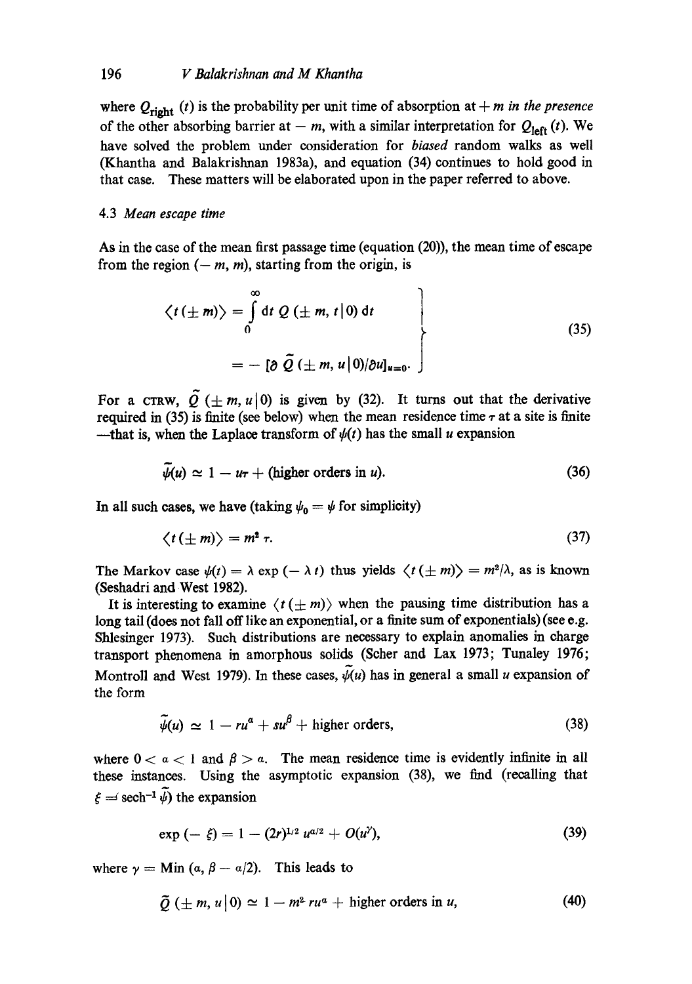where  $Q_{\text{right}}(t)$  is the probability per unit time of absorption at  $+m$  in the presence of the other absorbing barrier at  $-$  m, with a similar interpretation for  $Q_{\text{left}}(t)$ . We have solved the problem under consideration for *biased* random walks as well (Khantha and Balakrishnan 1983a), and equation (34) continues to hold good in that case. These matters will be elaborated upon in the paper referred to above.

## 4.3 *Mean escape time*

As in the case of the mean first passage time (equation (20)), the mean time of escape from the region  $(-m, m)$ , starting from the origin, is

$$
\langle t(\pm m)\rangle = \int_{0}^{\infty} dt \ Q(\pm m, t | 0) dt
$$
  
=  $-\left[\partial \ \tilde{Q}(\pm m, u | 0) / \partial u\right]_{u=0}.$  (35)

For a CTRW,  $\tilde{Q}$  ( $\pm m$ , u|0) is given by (32). It turns out that the derivative required in (35) is finite (see below) when the mean residence time  $\tau$  at a site is finite --that is, when the Laplace transform of  $\psi(t)$  has the small u expansion

$$
\tilde{\psi}(u) \simeq 1 - u\tau + \text{(higher orders in } u\text{)}.
$$
\n(36)

In all such cases, we have (taking  $\psi_0 = \psi$  for simplicity)

$$
\langle t(\pm m)\rangle = m^2 \tau. \tag{37}
$$

The Markov case  $\psi(t) = \lambda \exp(-\lambda t)$  thus yields  $\langle t(\pm m) \rangle = m^2/\lambda$ , as is known (Seshadri and West 1982).

It is interesting to examine  $\langle t(\pm m)\rangle$  when the pausing time distribution has a long tail (does not fall off like an exponential, or a finite sum of exponentials) (see e.g. Shlesinger 1973). Such distributions are necessary to explain anomalies in charge transport phenomena in amorphous solids (Scher and Lax 1973; Tunaley 1976; Montroll and West 1979). In these cases,  $\psi(u)$  has in general a small u expansion of the form

$$
\widetilde{\psi}(u) \simeq 1 - ru^{\alpha} + su^{\beta} + \text{higher orders}, \qquad (38)
$$

where  $0 < a < 1$  and  $\beta > a$ . The mean residence time is evidently infinite in all these instances. Using the asymptotic expansion (38), we find (recalling that  $\xi = \text{sech}^{-1} \widetilde{\psi}$  the expansion

$$
\exp\left(-\xi\right)=1-(2r)^{1/2}u^{a/2}+O(u^{\gamma}),\tag{39}
$$

where  $\gamma = \text{Min} (a, \beta - a/2)$ . This leads to

$$
\tilde{Q}(\pm m, u|0) \simeq 1 - m^2 \nu u^2 + \text{higher orders in } u,\tag{40}
$$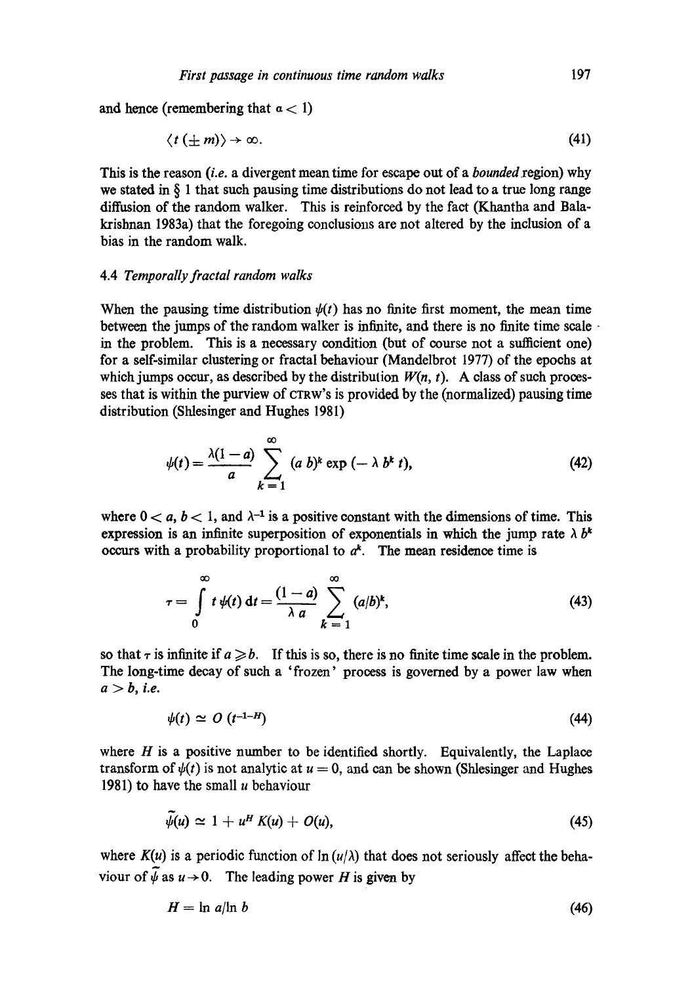and hence (remembering that  $a < 1$ )

$$
\langle t(\pm m)\rangle \to \infty. \tag{41}
$$

This is the reason *(i.e.* a divergent mean time for escape out of a *bounded region*) why we stated in § 1 that such pausing time distributions do not lead to a true long range diffusion of the random walker. This is reinforced by the fact (Khantha and Balakrishnan 1983a) that the foregoing conclusions are not altered by the inclusion of a bias in the random walk.

#### 4.4 *Temporally fractal random walks*

When the pausing time distribution  $\psi(t)$  has no finite first moment, the mean time between the jumps of the random walker is infinite, and there is no finite time scale in the problem. This is a necessary condition (but of course not a sufficient one) for a self-similar clustering or fractal behaviour (Mandelbrot 1977) of the epochs at which jumps occur, as described by the distribution  $W(n, t)$ . A class of such processes that is within the purview of CTRW'S is provided by the (normalized) pausing time distribution (Shlesinger and Hughes 1981)

$$
\psi(t) = \frac{\lambda(1-a)}{a} \sum_{k=1}^{\infty} (a b)^k \exp(-\lambda b^k t), \qquad (42)
$$

where  $0 < a, b < 1$ , and  $\lambda^{-1}$  is a positive constant with the dimensions of time. This expression is an infinite superposition of exponentials in which the jump rate  $\lambda b^k$ occurs with a probability proportional to  $a^k$ . The mean residence time is

$$
\tau = \int\limits_0^\infty t \, \psi(t) \, \mathrm{d}t = \frac{(1-a)}{\lambda \, a} \sum_{k=1}^\infty \, (a/b)^k, \tag{43}
$$

so that  $\tau$  is infinite if  $a \ge b$ . If this is so, there is no finite time scale in the problem. The long-time decay of such a 'frozen' process is governed by a power law when  $a > b$ , *i.e.* 

$$
\psi(t) \simeq O\left(t^{-1-H}\right) \tag{44}
$$

where  $H$  is a positive number to be identified shortly. Equivalently, the Laplace transform of  $\psi(t)$  is not analytic at  $u = 0$ , and can be shown (Shlesinger and Hughes 1981) to have the small  $u$  behaviour

$$
\widetilde{\psi}(u) \simeq 1 + u^H K(u) + O(u), \qquad (45)
$$

where  $K(u)$  is a periodic function of  $\ln(u/\lambda)$  that does not seriously affect the behaviour of  $\tilde{\psi}$  as  $u \to 0$ . The leading power H is given by

$$
H = \ln a / \ln b \tag{46}
$$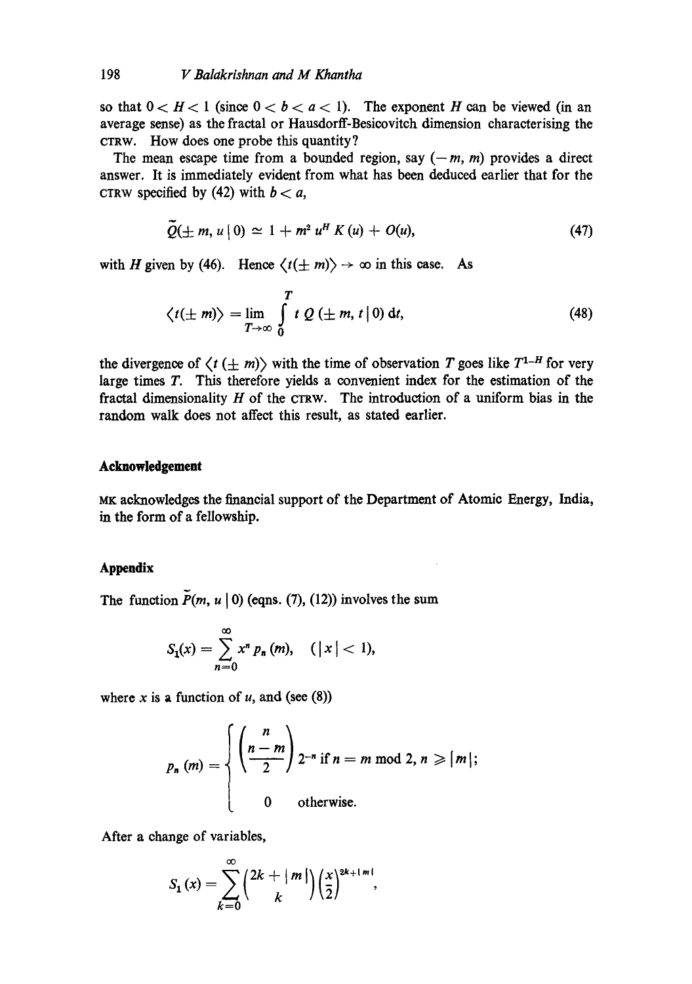# 198 *V Balakrishnan and M Khantha*

so that  $0 < H < 1$  (since  $0 < b < a < 1$ ). The exponent H can be viewed (in an average sense) as the fraetal or Hausdorff-Besicovitch dimension eharaeterising the CTRW. How does one probe this quantity?

The mean escape time from a bounded region, say  $(-m, m)$  provides a direct answer. It is immediately evident from what has been deduced earlier that for the CTRW specified by (42) with  $b < a$ ,

$$
\widetilde{Q}(\pm m, u \,|\,0) \simeq 1 + m^2 u^H K(u) + O(u), \qquad (47)
$$

with H given by (46). Hence  $\langle t(\pm m)\rangle \to \infty$  in this case. As

$$
\langle t(\pm m)\rangle = \lim_{T\to\infty} \int\limits_0^T t\ Q\ (\pm m, t\,|\,0)\ dt,\tag{48}
$$

the divergence of  $\langle t (\pm m) \rangle$  with the time of observation T goes like  $T^{1-H}$  for very large times T. This therefore yields a convenient index for the estimation of the fractal dimensionality  $H$  of the CTRW. The introduction of a uniform bias in the random walk does not affect this result, as stated earlier.

# **Acknowledgement**

MK acknowledges the financial support of the Department of Atomic Energy, India, in the form of a fellowship.

## **Appendix**

The function  $P(m, u | 0)$  (eqns. (7), (12)) involves the sum

$$
S_1(x) = \sum_{n=0}^{\infty} x^n p_n(m), \quad (|x| < 1),
$$

where x is a function of  $u$ , and (see (8))

$$
p_n(m) = \begin{cases} \left(\frac{n}{2}\right) 2^{-n} & \text{if } n = m \text{ mod } 2, n \geqslant |m|; \\ 0 & \text{otherwise.} \end{cases}
$$

After a change of variables,

$$
S_1(x) = \sum_{k=0}^{\infty} {2k + |m| \choose k} \left(\frac{x}{2}\right)^{2k+|m|},
$$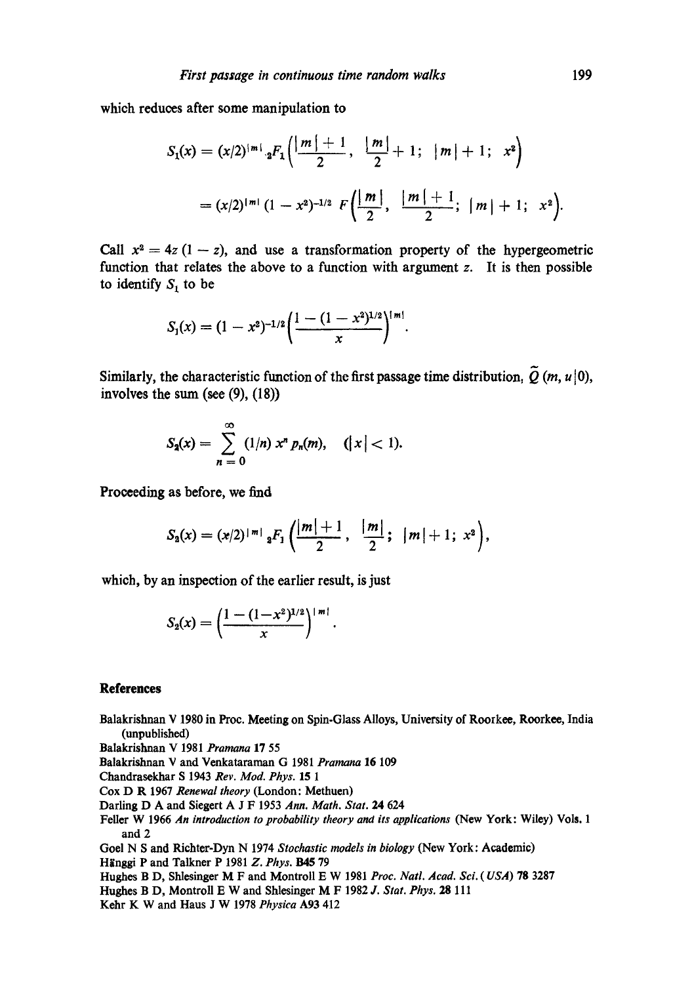**which reduces after some manipulation to** 

$$
S_1(x) = (x/2)^{|m|} {}_2F_1\left(\frac{|m|+1}{2}, \frac{|m|}{2} + 1; |m| + 1; x^2\right)
$$
  
=  $(x/2)^{|m|} (1 - x^2)^{-1/2} F\left(\frac{|m|}{2}, \frac{|m|+1}{2}; |m| + 1; x^2\right).$ 

Call  $x^2 = 4z (1 - z)$ , and use a transformation property of the hypergeometric function that relates the above to a function with argument  $z$ . It is then possible to identify  $S<sub>1</sub>$  to be

$$
S_1(x) = (1-x^2)^{-1/2} \left( \frac{1-(1-x^2)^{1/2}}{x} \right)^{|\mathfrak{m}|}.
$$

Similarly, the characteristic function of the first passage time distribution,  $\tilde{Q}$  (*m*, *u*|0), **involves the sum (see (9), (18))** 

$$
S_2(x) = \sum_{n=0}^{\infty} (1/n) x^n p_n(m), \quad (|x| < 1).
$$

Proceeding as before, we find

$$
S_2(x) = (x/2)^{|m|} {}_2F_1\left(\frac{|m|+1}{2}, \frac{|m|}{2}; |m|+1; x^2\right),
$$

**which, by an inspection of the earlier result, is just** 

$$
S_2(x) = \left(\frac{1-(1-x^2)^{1/2}}{x}\right)^{+m!}.
$$

#### **References**

Balakrishnan V 1980 in Proc. Meeting on Spin-Glass Alloys, University of Roorkee, Roorkee, India (unpublished)

Balakrishnan V 1981 *Pramana* 17 55

Balakrishnan V and Venkataraman G 1981 *Pramana* 16 109

Chandrasokhar S 1943 *Rev. Mod. Phys. 15 1* 

Cox D R 1967 *Renewal theory* (London: Methuen)

Darling D A and Siegcrt A J F 1953 *Ann. Math. Slat.* 24 624

Feller W 1966 *An introduction to probability theory and its applications* (New York: Wiley) Vols. 1 and 2

God N S and Richter-Dyn N 1974 *Stochastic models in biology* (New York: Academic)

Hiinggi P and Talkner P 1981 *Z. Phys. B45* 79

Hughes B D, Shlesinger M F and Montroll E W 1981 *Proc. Natl. Acad. Sci. (USA)* 78 3287

Hughes B D, Montroll E W and Shlesinger M F 1982 *J. Stat. Phys.* 28 111

Kehr K W and Haus J W 1978 *Physica* A93 412